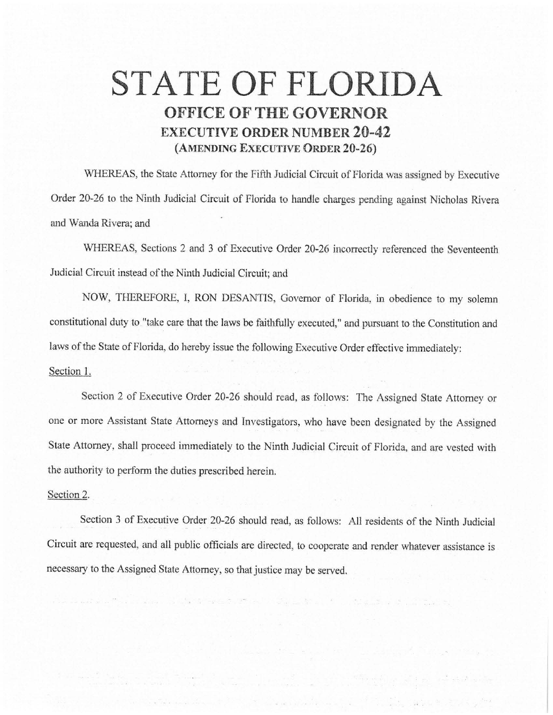## STATE OF FLORIDA **OFFICE OF THE GOVERNOR EXECUTIVE ORDER NUMBER 20-42 (AMENDING EXECUTIVE ORDER 20-26)**

WHEREAS, the State Attorney for the Fifth Judicial Circuit of Florida was assigned by Executive Order 20-26 to the Ninth Judicial Circuit of Florida to handle charges pending against Nicholas Rivera and Wanda Rivera; and

WHEREAS, Sections 2 and 3 of Executive Order 20-26 incorrectly referenced the Seventeenth Judicial Circuit instead of the Ninth Judicial Circuit; and

NOW, THEREFORE, I, RON DESANTIS, Governor of Florida, in obedience to my solemn constitutional duty to "take care that the laws be faithfully executed," and pursuant to the Constitution and laws of the State of Florida, do hereby issue the following Executive Order effective immediately: Section 1.

Section 2 of Executive Order 20-26 should read, as follows: The Assigned State Attorney or one or more Assistant State Attorneys and fnvestigators, who have been designated by the Assigned State Attorney, shall proceed immediately to the Ninth Judicial Circuit of Florida, and are vested with the authority to perform the duties prescribed herein.

## Section 2.

Section 3 of Executive Order 20-26 should read, as follows: All residents of the Ninth Judicial Circuit are requested, and all public officials are directed, to cooperate and render whatever assistance is necessary to the Assigned State Attorney, so that justice may be served.

 $\sim$  100  $\pm$  100  $\pm$  100  $\pm$  100  $\pm$  100  $\pm$  100  $\pm$  100  $\pm$  100  $\pm$  100  $\pm$